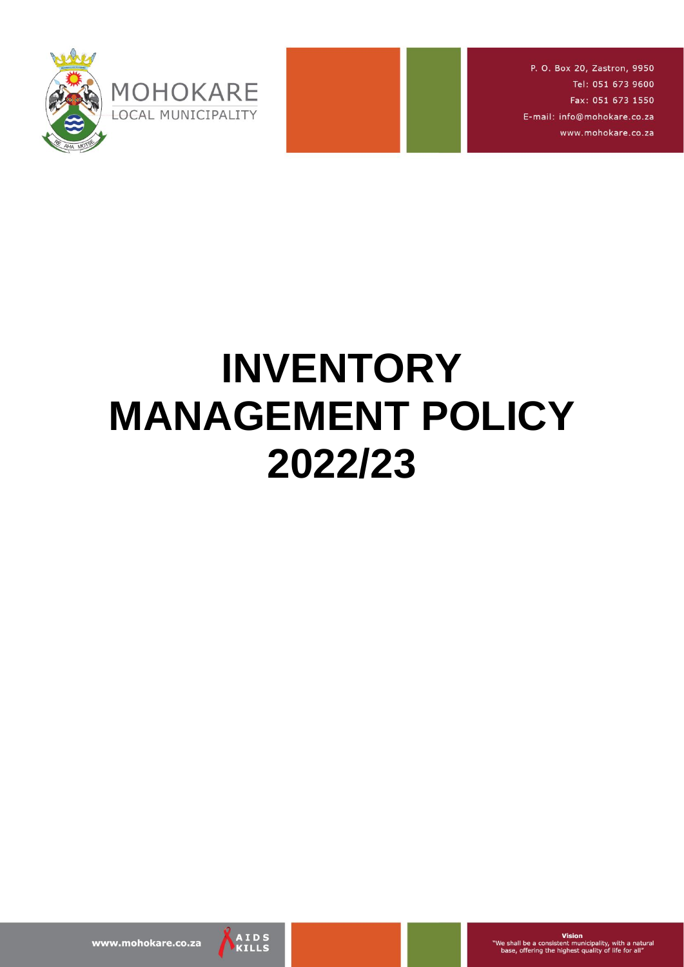

P. O. Box 20, Zastron, 9950 Tel: 051 673 9600 Fax: 051 673 1550 E-mail: info@mohokare.co.za www.mohokare.co.za

# **INVENTORY MANAGEMENT POLICY 2022/23**

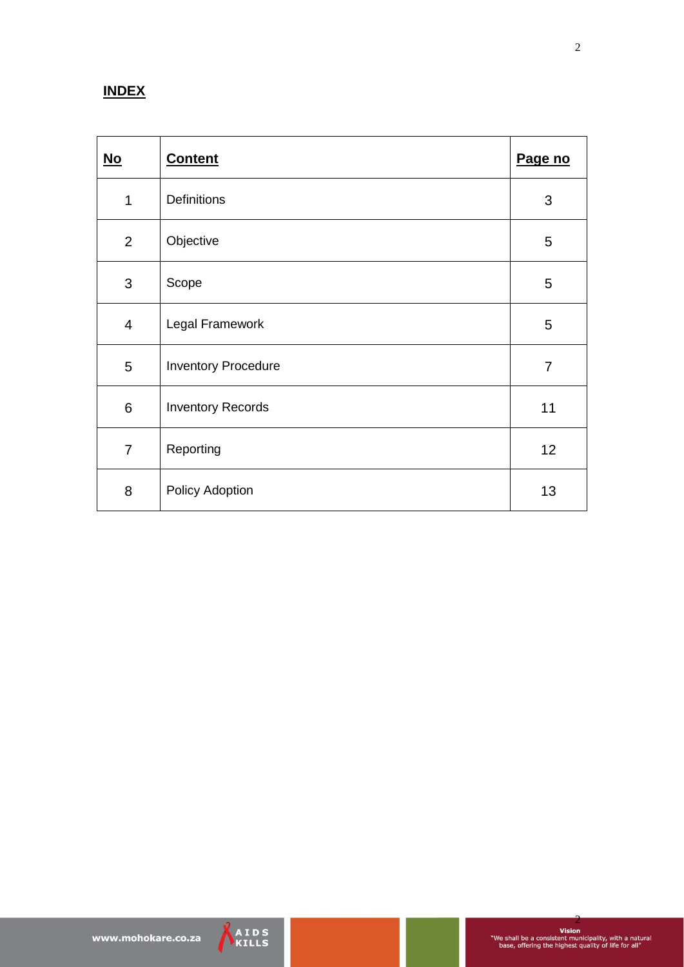# **INDEX**

| $\underline{\mathsf{No}}$ | <b>Content</b>             | Page no        |
|---------------------------|----------------------------|----------------|
| 1                         | <b>Definitions</b>         | $\mathfrak{B}$ |
| $\overline{2}$            | Objective                  | 5              |
| 3                         | Scope                      | 5              |
| $\overline{4}$            | Legal Framework            | $\overline{5}$ |
| 5                         | <b>Inventory Procedure</b> | $\overline{7}$ |
| 6                         | <b>Inventory Records</b>   | 11             |
| $\overline{7}$            | Reporting                  | 12             |
| 8                         | Policy Adoption            | 13             |



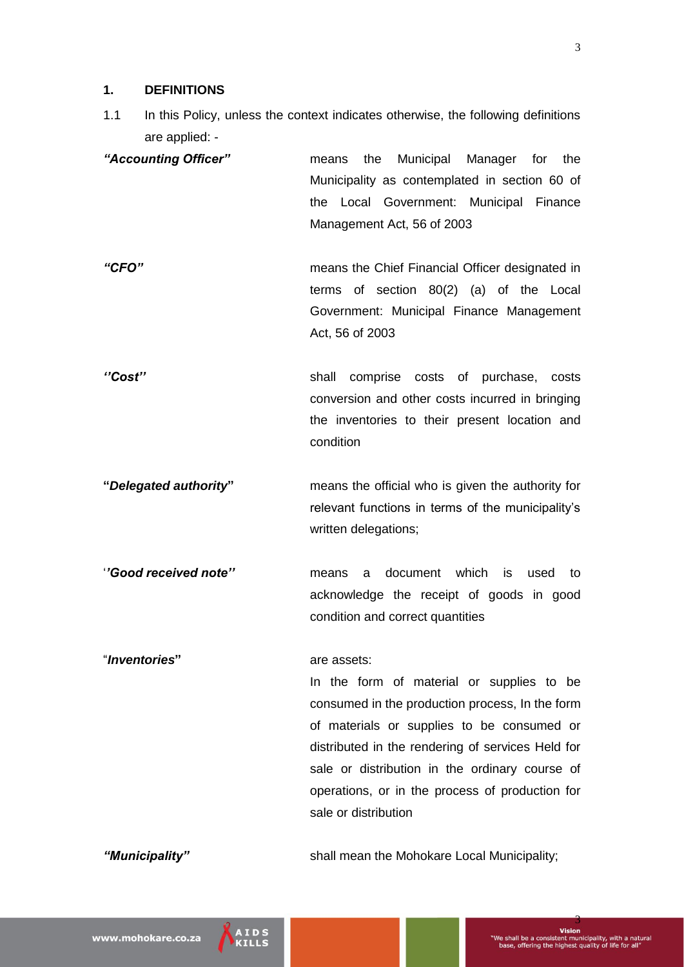#### **1. DEFINITIONS**

- 1.1 In this Policy, unless the context indicates otherwise, the following definitions are applied: -
- *"Accounting Officer"* means the Municipal Manager for the Municipality as contemplated in section 60 of the Local Government: Municipal Finance Management Act, 56 of 2003
- *"CFO"* means the Chief Financial Officer designated in terms of section 80(2) (a) of the Local Government: Municipal Finance Management Act, 56 of 2003
- *''Cost''* shall comprise costs of purchase, costs conversion and other costs incurred in bringing the inventories to their present location and condition
- **"***Delegated authority***"** means the official who is given the authority for relevant functions in terms of the municipality's written delegations;
- '*'Good received note''* means a document which is used to acknowledge the receipt of goods in good condition and correct quantities

# "*Inventories***"** are assets: In the form of material or supplies to be consumed in the production process, In the form of materials or supplies to be consumed or distributed in the rendering of services Held for sale or distribution in the ordinary course of operations, or in the process of production for sale or distribution

*"Municipality"* shall mean the Mohokare Local Municipality;

www.mohokare.co.za

3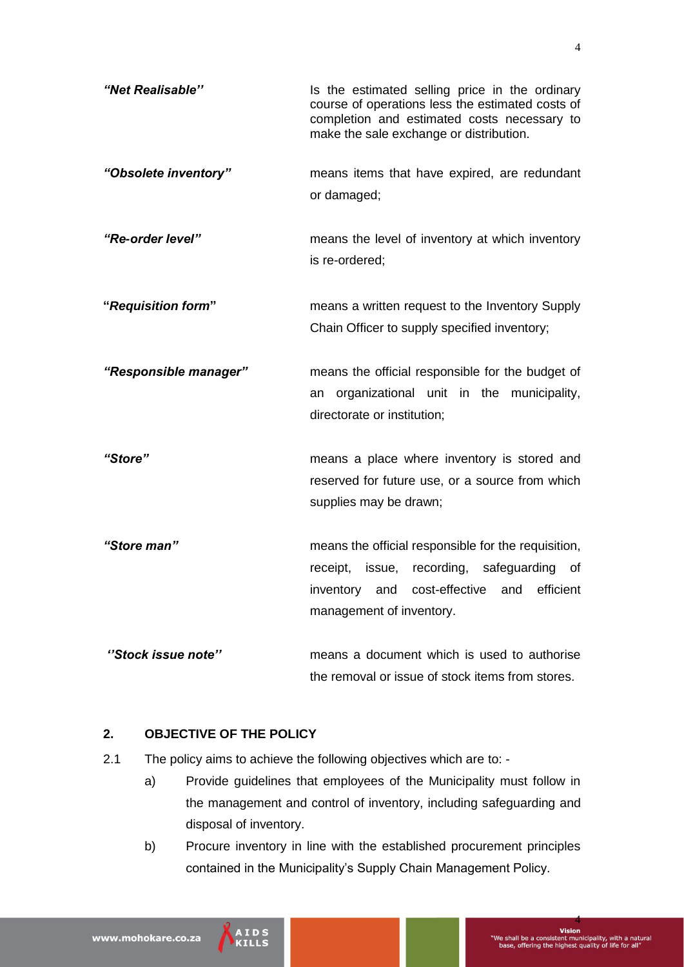| "Net Realisable"      | Is the estimated selling price in the ordinary<br>course of operations less the estimated costs of<br>completion and estimated costs necessary to<br>make the sale exchange or distribution. |
|-----------------------|----------------------------------------------------------------------------------------------------------------------------------------------------------------------------------------------|
| "Obsolete inventory"  | means items that have expired, are redundant<br>or damaged;                                                                                                                                  |
| "Re-order level"      | means the level of inventory at which inventory<br>is re-ordered;                                                                                                                            |
| "Requisition form"    | means a written request to the Inventory Supply<br>Chain Officer to supply specified inventory;                                                                                              |
| "Responsible manager" | means the official responsible for the budget of<br>organizational unit in the municipality,<br>an<br>directorate or institution;                                                            |
| "Store"               | means a place where inventory is stored and<br>reserved for future use, or a source from which<br>supplies may be drawn;                                                                     |
| "Store man"           | means the official responsible for the requisition,<br>receipt, issue, recording, safeguarding<br>of<br>cost-effective<br>efficient<br>and<br>inventory<br>and<br>management of inventory.   |
| "Stock issue note"    | means a document which is used to authorise<br>the removal or issue of stock items from stores.                                                                                              |

# **2. OBJECTIVE OF THE POLICY**

- 2.1 The policy aims to achieve the following objectives which are to:
	- a) Provide guidelines that employees of the Municipality must follow in the management and control of inventory, including safeguarding and disposal of inventory.
	- b) Procure inventory in line with the established procurement principles contained in the Municipality's Supply Chain Management Policy.

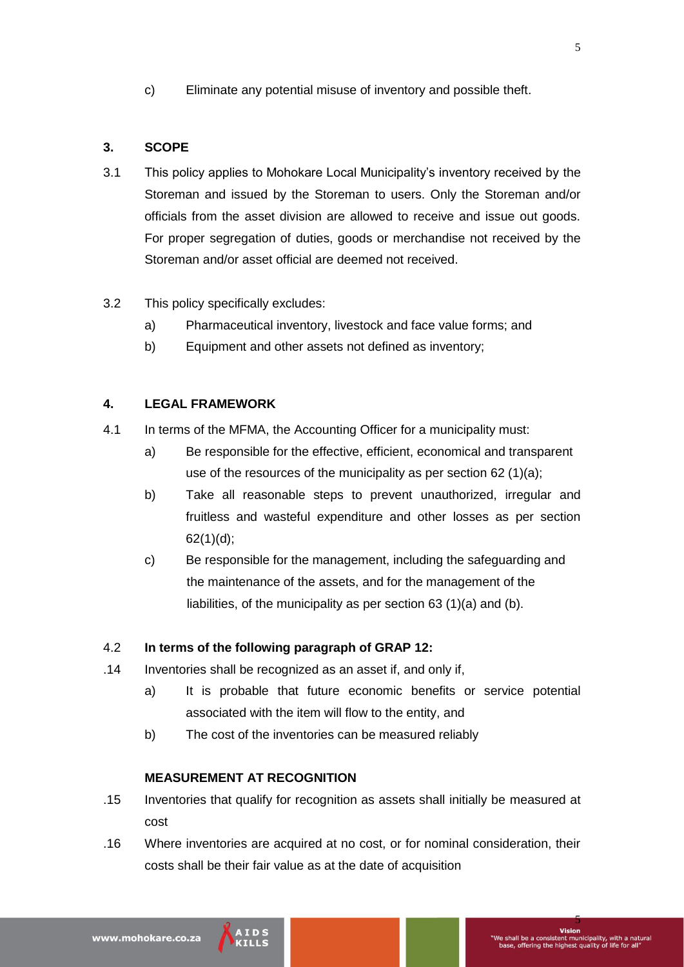c) Eliminate any potential misuse of inventory and possible theft.

# **3. SCOPE**

- 3.1 This policy applies to Mohokare Local Municipality's inventory received by the Storeman and issued by the Storeman to users. Only the Storeman and/or officials from the asset division are allowed to receive and issue out goods. For proper segregation of duties, goods or merchandise not received by the Storeman and/or asset official are deemed not received.
- 3.2 This policy specifically excludes:
	- a) Pharmaceutical inventory, livestock and face value forms; and
	- b) Equipment and other assets not defined as inventory;

#### **4. LEGAL FRAMEWORK**

- 4.1 In terms of the MFMA, the Accounting Officer for a municipality must:
	- a) Be responsible for the effective, efficient, economical and transparent use of the resources of the municipality as per section 62 (1)(a);
	- b) Take all reasonable steps to prevent unauthorized, irregular and fruitless and wasteful expenditure and other losses as per section 62(1)(d);
	- c) Be responsible for the management, including the safeguarding and the maintenance of the assets, and for the management of the liabilities, of the municipality as per section 63 (1)(a) and (b).

# 4.2 **In terms of the following paragraph of GRAP 12:**

- .14 Inventories shall be recognized as an asset if, and only if,
	- a) It is probable that future economic benefits or service potential associated with the item will flow to the entity, and
	- b) The cost of the inventories can be measured reliably

#### **MEASUREMENT AT RECOGNITION**

- .15 Inventories that qualify for recognition as assets shall initially be measured at cost
- .16 Where inventories are acquired at no cost, or for nominal consideration, their costs shall be their fair value as at the date of acquisition

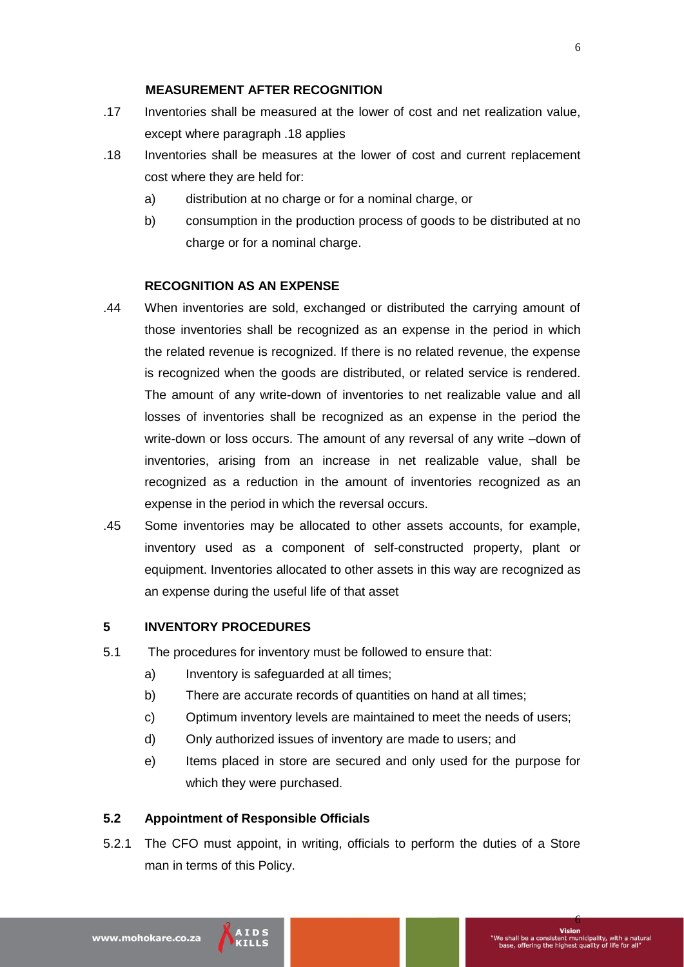#### **MEASUREMENT AFTER RECOGNITION**

- .17 Inventories shall be measured at the lower of cost and net realization value, except where paragraph .18 applies
- .18 Inventories shall be measures at the lower of cost and current replacement cost where they are held for:
	- a) distribution at no charge or for a nominal charge, or
	- b) consumption in the production process of goods to be distributed at no charge or for a nominal charge.

#### **RECOGNITION AS AN EXPENSE**

- .44 When inventories are sold, exchanged or distributed the carrying amount of those inventories shall be recognized as an expense in the period in which the related revenue is recognized. If there is no related revenue, the expense is recognized when the goods are distributed, or related service is rendered. The amount of any write-down of inventories to net realizable value and all losses of inventories shall be recognized as an expense in the period the write-down or loss occurs. The amount of any reversal of any write –down of inventories, arising from an increase in net realizable value, shall be recognized as a reduction in the amount of inventories recognized as an expense in the period in which the reversal occurs.
- .45 Some inventories may be allocated to other assets accounts, for example, inventory used as a component of self-constructed property, plant or equipment. Inventories allocated to other assets in this way are recognized as an expense during the useful life of that asset

# **5 INVENTORY PROCEDURES**

- 5.1 The procedures for inventory must be followed to ensure that:
	- a) Inventory is safeguarded at all times;
	- b) There are accurate records of quantities on hand at all times;
	- c) Optimum inventory levels are maintained to meet the needs of users;
	- d) Only authorized issues of inventory are made to users; and
	- e) Items placed in store are secured and only used for the purpose for which they were purchased.

# **5.2 Appointment of Responsible Officials**

5.2.1 The CFO must appoint, in writing, officials to perform the duties of a Store man in terms of this Policy.

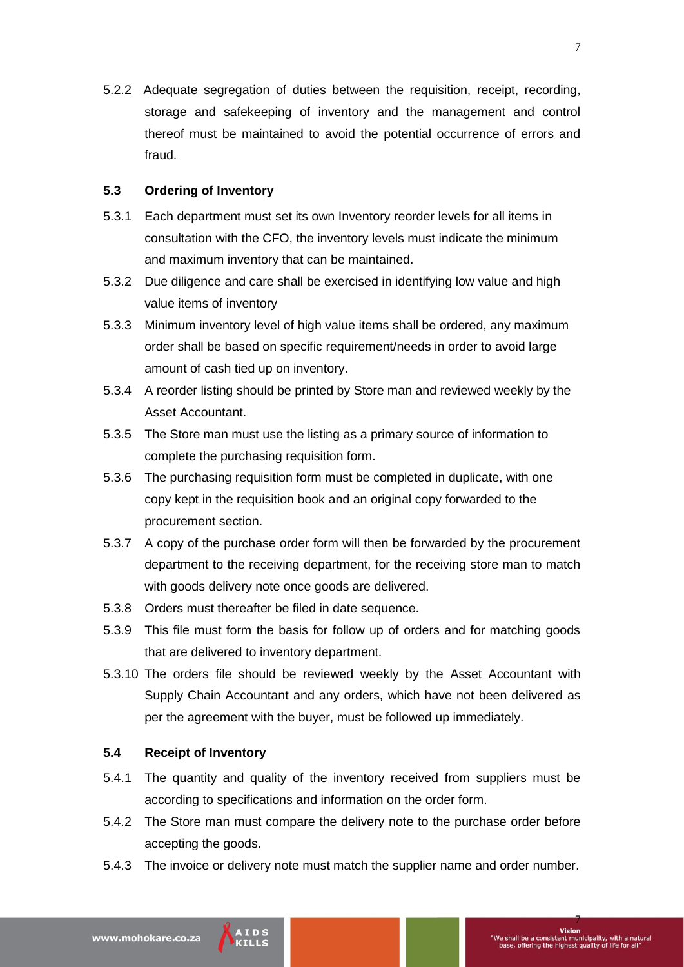5.2.2 Adequate segregation of duties between the requisition, receipt, recording, storage and safekeeping of inventory and the management and control thereof must be maintained to avoid the potential occurrence of errors and fraud.

#### **5.3 Ordering of Inventory**

- 5.3.1 Each department must set its own Inventory reorder levels for all items in consultation with the CFO, the inventory levels must indicate the minimum and maximum inventory that can be maintained.
- 5.3.2 Due diligence and care shall be exercised in identifying low value and high value items of inventory
- 5.3.3 Minimum inventory level of high value items shall be ordered, any maximum order shall be based on specific requirement/needs in order to avoid large amount of cash tied up on inventory.
- 5.3.4 A reorder listing should be printed by Store man and reviewed weekly by the Asset Accountant.
- 5.3.5 The Store man must use the listing as a primary source of information to complete the purchasing requisition form.
- 5.3.6 The purchasing requisition form must be completed in duplicate, with one copy kept in the requisition book and an original copy forwarded to the procurement section.
- 5.3.7 A copy of the purchase order form will then be forwarded by the procurement department to the receiving department, for the receiving store man to match with goods delivery note once goods are delivered.
- 5.3.8 Orders must thereafter be filed in date sequence.
- 5.3.9 This file must form the basis for follow up of orders and for matching goods that are delivered to inventory department.
- 5.3.10 The orders file should be reviewed weekly by the Asset Accountant with Supply Chain Accountant and any orders, which have not been delivered as per the agreement with the buyer, must be followed up immediately.

# **5.4 Receipt of Inventory**

- 5.4.1 The quantity and quality of the inventory received from suppliers must be according to specifications and information on the order form.
- 5.4.2 The Store man must compare the delivery note to the purchase order before accepting the goods.
- 5.4.3 The invoice or delivery note must match the supplier name and order number.

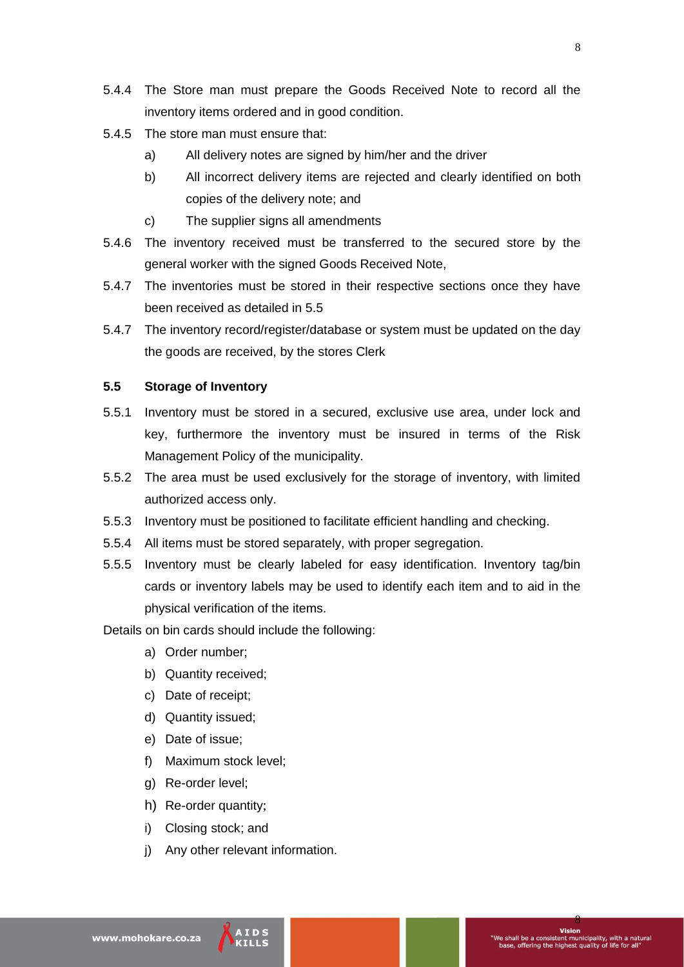- 5.4.5 The store man must ensure that:
	- a) All delivery notes are signed by him/her and the driver
	- b) All incorrect delivery items are rejected and clearly identified on both copies of the delivery note; and
	- c) The supplier signs all amendments
- 5.4.6 The inventory received must be transferred to the secured store by the general worker with the signed Goods Received Note,
- 5.4.7 The inventories must be stored in their respective sections once they have been received as detailed in 5.5
- 5.4.7 The inventory record/register/database or system must be updated on the day the goods are received, by the stores Clerk

# **5.5 Storage of Inventory**

- 5.5.1 Inventory must be stored in a secured, exclusive use area, under lock and key, furthermore the inventory must be insured in terms of the Risk Management Policy of the municipality.
- 5.5.2 The area must be used exclusively for the storage of inventory, with limited authorized access only.
- 5.5.3 Inventory must be positioned to facilitate efficient handling and checking.
- 5.5.4 All items must be stored separately, with proper segregation.
- 5.5.5 Inventory must be clearly labeled for easy identification. Inventory tag/bin cards or inventory labels may be used to identify each item and to aid in the physical verification of the items.

Details on bin cards should include the following:

- a) Order number;
- b) Quantity received;
- c) Date of receipt;
- d) Quantity issued;
- e) Date of issue;
- f) Maximum stock level;
- g) Re-order level;
- h) Re-order quantity;
- i) Closing stock; and
- j) Any other relevant information.

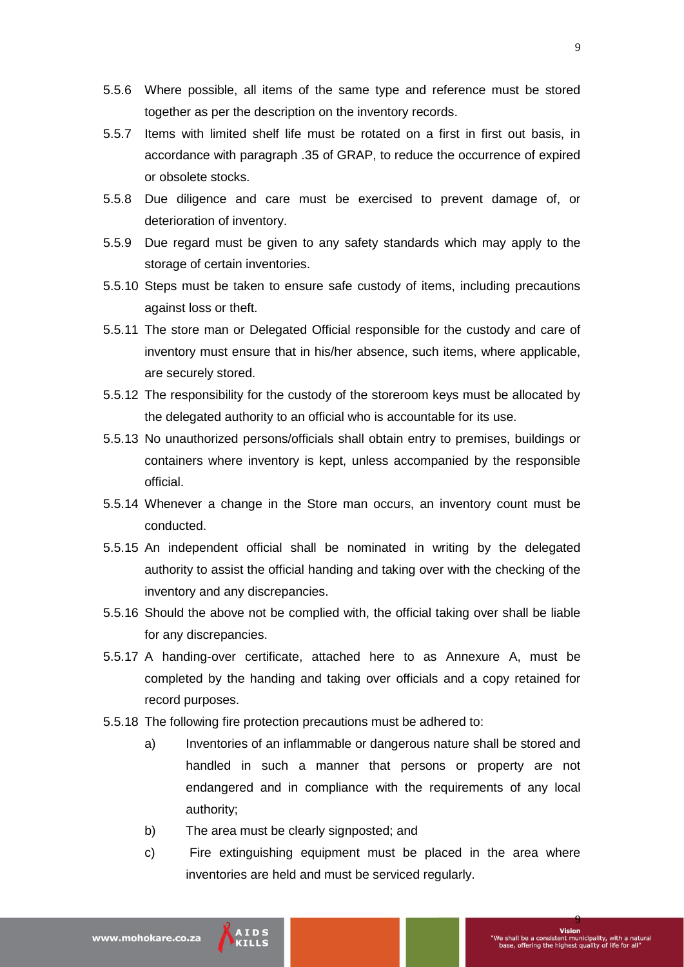- 5.5.6 Where possible, all items of the same type and reference must be stored together as per the description on the inventory records.
- 5.5.7 Items with limited shelf life must be rotated on a first in first out basis, in accordance with paragraph .35 of GRAP, to reduce the occurrence of expired or obsolete stocks.
- 5.5.8 Due diligence and care must be exercised to prevent damage of, or deterioration of inventory.
- 5.5.9 Due regard must be given to any safety standards which may apply to the storage of certain inventories.
- 5.5.10 Steps must be taken to ensure safe custody of items, including precautions against loss or theft.
- 5.5.11 The store man or Delegated Official responsible for the custody and care of inventory must ensure that in his/her absence, such items, where applicable, are securely stored.
- 5.5.12 The responsibility for the custody of the storeroom keys must be allocated by the delegated authority to an official who is accountable for its use.
- 5.5.13 No unauthorized persons/officials shall obtain entry to premises, buildings or containers where inventory is kept, unless accompanied by the responsible official.
- 5.5.14 Whenever a change in the Store man occurs, an inventory count must be conducted.
- 5.5.15 An independent official shall be nominated in writing by the delegated authority to assist the official handing and taking over with the checking of the inventory and any discrepancies.
- 5.5.16 Should the above not be complied with, the official taking over shall be liable for any discrepancies.
- 5.5.17 A handing-over certificate, attached here to as Annexure A, must be completed by the handing and taking over officials and a copy retained for record purposes.
- 5.5.18 The following fire protection precautions must be adhered to:
	- a) Inventories of an inflammable or dangerous nature shall be stored and handled in such a manner that persons or property are not endangered and in compliance with the requirements of any local authority;
	- b) The area must be clearly signposted; and
	- c) Fire extinguishing equipment must be placed in the area where inventories are held and must be serviced regularly.

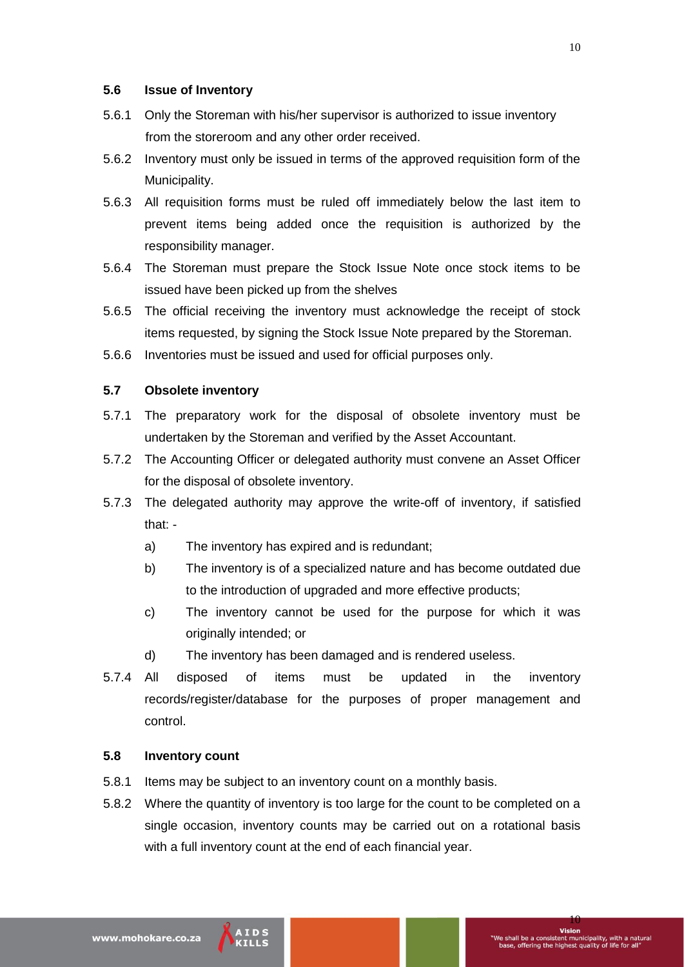#### **5.6 Issue of Inventory**

- 5.6.1 Only the Storeman with his/her supervisor is authorized to issue inventory from the storeroom and any other order received.
- 5.6.2 Inventory must only be issued in terms of the approved requisition form of the Municipality.
- 5.6.3 All requisition forms must be ruled off immediately below the last item to prevent items being added once the requisition is authorized by the responsibility manager.
- 5.6.4 The Storeman must prepare the Stock Issue Note once stock items to be issued have been picked up from the shelves
- 5.6.5 The official receiving the inventory must acknowledge the receipt of stock items requested, by signing the Stock Issue Note prepared by the Storeman.
- 5.6.6 Inventories must be issued and used for official purposes only.

# **5.7 Obsolete inventory**

- 5.7.1 The preparatory work for the disposal of obsolete inventory must be undertaken by the Storeman and verified by the Asset Accountant.
- 5.7.2 The Accounting Officer or delegated authority must convene an Asset Officer for the disposal of obsolete inventory.
- 5.7.3 The delegated authority may approve the write-off of inventory, if satisfied that:
	- a) The inventory has expired and is redundant;
	- b) The inventory is of a specialized nature and has become outdated due to the introduction of upgraded and more effective products;
	- c) The inventory cannot be used for the purpose for which it was originally intended; or
	- d) The inventory has been damaged and is rendered useless.
- 5.7.4 All disposed of items must be updated in the inventory records/register/database for the purposes of proper management and control.

#### **5.8 Inventory count**

- 5.8.1 Items may be subject to an inventory count on a monthly basis.
- 5.8.2 Where the quantity of inventory is too large for the count to be completed on a single occasion, inventory counts may be carried out on a rotational basis with a full inventory count at the end of each financial year.

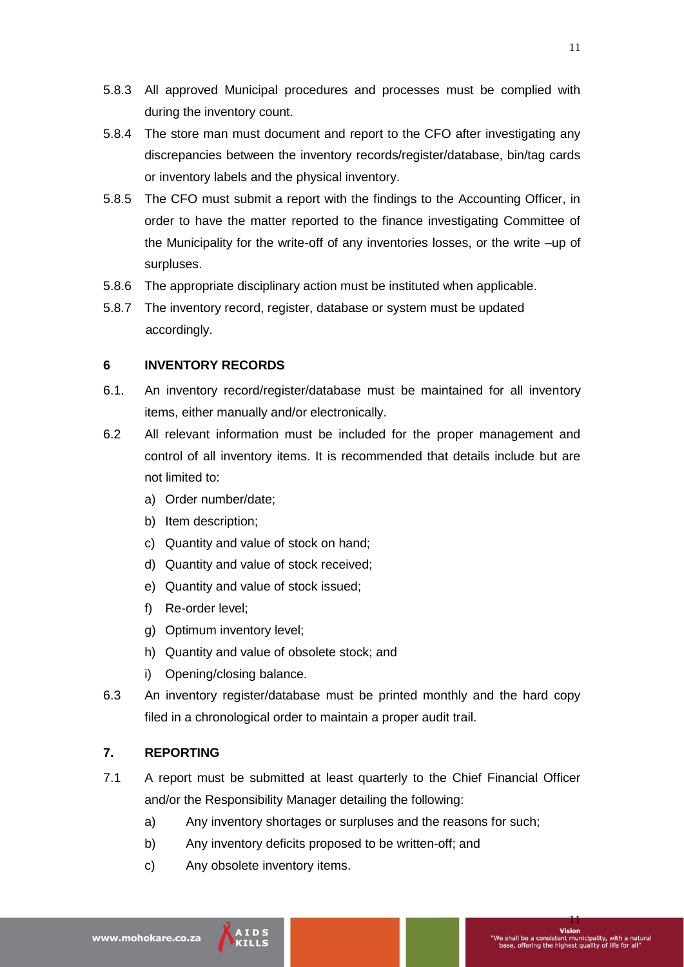- 5.8.3 All approved Municipal procedures and processes must be complied with during the inventory count.
- 5.8.4 The store man must document and report to the CFO after investigating any discrepancies between the inventory records/register/database, bin/tag cards or inventory labels and the physical inventory.
- 5.8.5 The CFO must submit a report with the findings to the Accounting Officer, in order to have the matter reported to the finance investigating Committee of the Municipality for the write-off of any inventories losses, or the write –up of surpluses.
- 5.8.6 The appropriate disciplinary action must be instituted when applicable.
- 5.8.7 The inventory record, register, database or system must be updated accordingly.

#### **6 INVENTORY RECORDS**

- 6.1. An inventory record/register/database must be maintained for all inventory items, either manually and/or electronically.
- 6.2 All relevant information must be included for the proper management and control of all inventory items. It is recommended that details include but are not limited to:
	- a) Order number/date;
	- b) Item description;
	- c) Quantity and value of stock on hand;
	- d) Quantity and value of stock received;
	- e) Quantity and value of stock issued;
	- f) Re-order level;
	- g) Optimum inventory level;
	- h) Quantity and value of obsolete stock; and
	- i) Opening/closing balance.
- 6.3 An inventory register/database must be printed monthly and the hard copy filed in a chronological order to maintain a proper audit trail.

# **7. REPORTING**

- 7.1 A report must be submitted at least quarterly to the Chief Financial Officer and/or the Responsibility Manager detailing the following:
	- a) Any inventory shortages or surpluses and the reasons for such;
	- b) Any inventory deficits proposed to be written-off; and
	- c) Any obsolete inventory items.



11